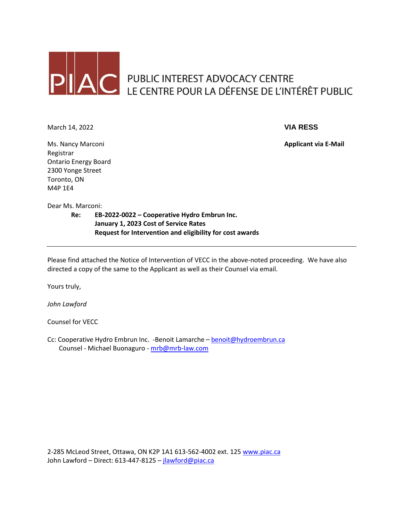

# PUBLIC INTEREST ADVOCACY CENTRE<br>LE CENTRE POUR LA DÉFENSE DE L'INTÉRÊT PUBLIC

March 14, 2022 **VIA RESS**

Ms. Nancy Marconi **Applicant via E-Mail** Registrar Ontario Energy Board 2300 Yonge Street Toronto, ON M4P 1E4

Dear Ms. Marconi:

**Re: EB-2022-0022 – Cooperative Hydro Embrun Inc. January 1, 2023 Cost of Service Rates Request for Intervention and eligibility for cost awards**

Please find attached the Notice of Intervention of VECC in the above-noted proceeding. We have also directed a copy of the same to the Applicant as well as their Counsel via email.

Yours truly,

*John Lawford*

Counsel for VECC

Cc: Cooperative Hydro Embrun Inc. -Benoit Lamarche – [benoit@hydroembrun.ca](mailto:benoit@hydroembrun.ca) Counsel - Michael Buonaguro - [mrb@mrb-law.com](mailto:mrb@mrb-law.com)

2-285 McLeod Street, Ottawa, ON K2P 1A1 613-562-4002 ext. 125 [www.piac.ca](http://www.piac.ca/) John Lawford – Direct: 613-447-8125 – [jlawford@piac.ca](mailto:jlawford@piac.ca)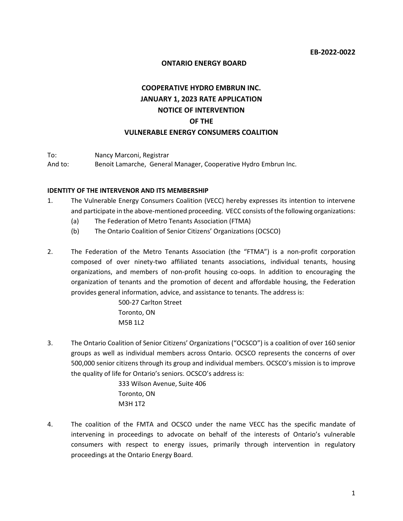#### **ONTARIO ENERGY BOARD**

# **COOPERATIVE HYDRO EMBRUN INC. JANUARY 1, 2023 RATE APPLICATION NOTICE OF INTERVENTION OF THE VULNERABLE ENERGY CONSUMERS COALITION**

To: Nancy Marconi, Registrar

And to: Benoit Lamarche, General Manager, Cooperative Hydro Embrun Inc.

#### **IDENTITY OF THE INTERVENOR AND ITS MEMBERSHIP**

- 1. The Vulnerable Energy Consumers Coalition (VECC) hereby expresses its intention to intervene and participate in the above-mentioned proceeding. VECC consists of the following organizations:
	- (a) The Federation of Metro Tenants Association (FTMA)
	- (b) The Ontario Coalition of Senior Citizens' Organizations (OCSCO)
- 2. The Federation of the Metro Tenants Association (the "FTMA") is a non-profit corporation composed of over ninety-two affiliated tenants associations, individual tenants, housing organizations, and members of non-profit housing co-oops. In addition to encouraging the organization of tenants and the promotion of decent and affordable housing, the Federation provides general information, advice, and assistance to tenants. The address is:

500-27 Carlton Street Toronto, ON M5B 1L2

3. The Ontario Coalition of Senior Citizens' Organizations ("OCSCO") is a coalition of over 160 senior groups as well as individual members across Ontario. OCSCO represents the concerns of over 500,000 senior citizens through its group and individual members. OCSCO's mission is to improve the quality of life for Ontario's seniors. OCSCO's address is:

> 333 Wilson Avenue, Suite 406 Toronto, ON M3H 1T2

4. The coalition of the FMTA and OCSCO under the name VECC has the specific mandate of intervening in proceedings to advocate on behalf of the interests of Ontario's vulnerable consumers with respect to energy issues, primarily through intervention in regulatory proceedings at the Ontario Energy Board.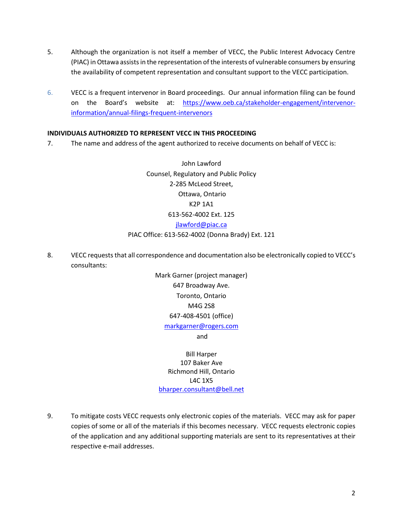- 5. Although the organization is not itself a member of VECC, the Public Interest Advocacy Centre (PIAC) in Ottawa assists in the representation of the interests of vulnerable consumers by ensuring the availability of competent representation and consultant support to the VECC participation.
- 6. VECC is a frequent intervenor in Board proceedings. Our annual information filing can be found on the Board's website at: [https://www.oeb.ca/stakeholder-engagement/intervenor](https://www.oeb.ca/stakeholder-engagement/intervenor-information/annual-filings-frequent-intervenors)[information/annual-filings-frequent-intervenors](https://www.oeb.ca/stakeholder-engagement/intervenor-information/annual-filings-frequent-intervenors)

# **INDIVIDUALS AUTHORIZED TO REPRESENT VECC IN THIS PROCEEDING**

7. The name and address of the agent authorized to receive documents on behalf of VECC is:

John Lawford Counsel, Regulatory and Public Policy 2-285 McLeod Street, Ottawa, Ontario K2P 1A1 613-562-4002 Ext. 125 [jlawford@piac.ca](mailto:jlawford@piac.ca)

# PIAC Office: 613-562-4002 (Donna Brady) Ext. 121

8. VECC requeststhat all correspondence and documentation also be electronically copied to VECC's consultants:

> Mark Garner (project manager) 647 Broadway Ave. Toronto, Ontario M4G 2S8 647-408-4501 (office) [markgarner@rogers.com](mailto:markgarner@rogers.com) and

Bill Harper 107 Baker Ave Richmond Hill, Ontario L4C 1X5 [bharper.consultant@bell.net](mailto:bharper.consultant@bell.net)

9. To mitigate costs VECC requests only electronic copies of the materials. VECC may ask for paper copies of some or all of the materials if this becomes necessary. VECC requests electronic copies of the application and any additional supporting materials are sent to its representatives at their respective e-mail addresses.